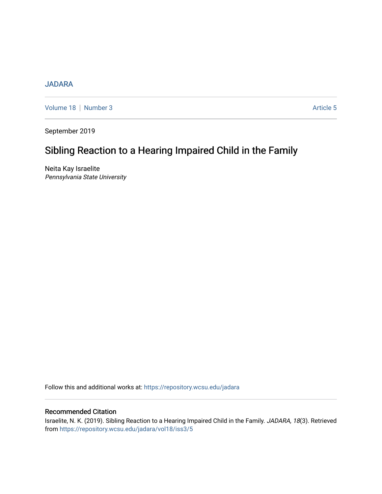# [JADARA](https://repository.wcsu.edu/jadara)

[Volume 18](https://repository.wcsu.edu/jadara/vol18) | [Number 3](https://repository.wcsu.edu/jadara/vol18/iss3) Article 5

September 2019

# Sibling Reaction to a Hearing Impaired Child in the Family

Neita Kay Israelite Pennsylvania State University

Follow this and additional works at: [https://repository.wcsu.edu/jadara](https://repository.wcsu.edu/jadara?utm_source=repository.wcsu.edu%2Fjadara%2Fvol18%2Fiss3%2F5&utm_medium=PDF&utm_campaign=PDFCoverPages)

# Recommended Citation

Israelite, N. K. (2019). Sibling Reaction to a Hearing Impaired Child in the Family. JADARA, 18(3). Retrieved from [https://repository.wcsu.edu/jadara/vol18/iss3/5](https://repository.wcsu.edu/jadara/vol18/iss3/5?utm_source=repository.wcsu.edu%2Fjadara%2Fvol18%2Fiss3%2F5&utm_medium=PDF&utm_campaign=PDFCoverPages)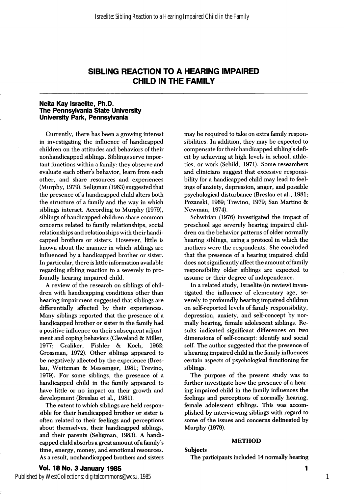## Neita Kay Israelite, Ph.D. The Pennsylvania State University University Park, Pennsylvania

Currently, there has been a growing interest in investigating the influence of handicapped children on the attitudes and behaviors of their nonhandicapped siblings. Siblings serve impor tant functions within a family: they observe and evaluate each other's behavior, leam from each other, and share resources and experiences (Murphy, 1979). Seligman (1983) suggested that the presence of a handicapped child alters both the structure of a family and the way in which siblings interact. According to Murphy (1979), siblings of handicapped children share common concerns related to family relationships, social relationships and relationships with their handi capped brothers or sisters. However, little is known about the manner in which siblings are influenced by a handicapped brother or sister. In particular, there is little information available regarding sibling reaction to a severely to pro foundly hearing impaired child.

A review of the research on siblings of chil dren with handicapping conditions other than hearing impairment suggested that siblings are differentially affected by their experiences. Many siblings reported that the presence of a handicapped brother or sister in the family had a positive influence on their subsequent adjust ment and coping behaviors (Cleveland & Miller,<br>1977; Graliker, Fishler & Koch, 1962; Fishler & Koch, 1962; Grossman, 1972). Other siblings appeared to be negatively affected by the experience (Breslau, Weitzman & Messenger, 1981; Trevino, 1979). For some siblings, the presence of a handicapped child in the family appeared to have little or no impact on their growth and development (Breslau et al., 1981).

The extent to which siblings are held respon sible for their handicapped brother or sister is often related to their feelings and perceptions about themselves, their handicapped siblings, and their parents (Seligman, 1983). A handi capped child absorbs a great amount of a family's time, energy, money, and emotional resources. As a result, nonhandicapped brothers and sisters may be required to take on extra family respon sibilities. In addition, they may be expected to compensate for their handicapped sibling's defi cit by achieving at high levels in school, athle tics, or work (Schild, 1971). Some researchers and clinicians suggest that excessive responsi bility for a handicapped child may lead to feel ings of anxiety, depression, anger, and possible psychological disturbance (Breslau et al., 1981; Pozanski, 1969; Trevino, 1979; San Martino & Newman, 1974).

Schwirian (1976) investigated the impact of preschool age severely hearing impaired chil dren on the behavior patterns of older normally hearing siblings, using a protocol in which the mothers were the respondents. She concluded that the presence of a hearing impaired child does not significantly affect the amount of family responsibility older siblings are expected to assume or their degree of independence.

In a related study, Israelite (in review) inves tigated the influence of elementary age, se verely to profoundly hearing impaired children on self-reported levels of family responsibility, depression, anxiety, and self-concept by nor mally hearing, female adolescent siblings. Re sults indicated significant differences on two dimensions of self-concept: identify and social self. The author suggested that the presence of a hearing impaired child in the family influences certain aspects of psychological functioning for siblings.

The purpose of the present study was to further investigate how the presence of a hear ing impaired child in the family influences the feelings and perceptions of normally hearing, female adolescent siblings. This was accom plished by interviewing siblings with regard to some of the issues and concerns delineated by Murphy (1979).

#### METHOD

#### Subjects

The participants included 14 normally hearing

## Vol. 18 No. 3 January 1985

Published by WestCollections: digitalcommons@wcsu, 1985

1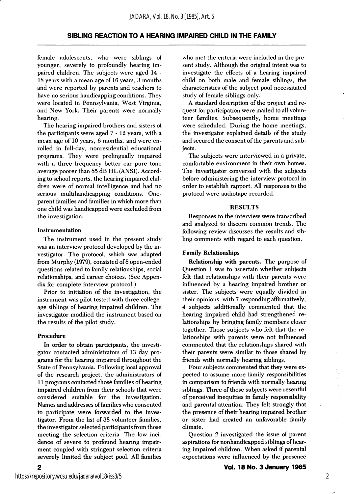female adolescents, who were siblings of younger, severely to profoundly hearing im paired children. The subjects were aged 14 - 18 years with a mean age of 16 years, 3 months and were reported by parents and teachers to have no serious handicapping conditions. They were located in Pennsylvania, West Virginia, and New York. Their parents were normally hearing.

The hearing impaired brothers and sisters of the participants were aged 7-12 years, with a mean age of 10 years, 6 months, and were en rolled in full-day, nonresidential educational programs. They were prelingually impaired with a three frequency better ear pure tone average poorer than 85 dB HL (ANSI). Accord ing to school reports, the hearing impaired chil dren were of normal intelligence and had no serious multihandicapping conditions. Oneparent families and families in which more than one child was handicapped were excluded from the investigation.

#### Instrumentation

The instrument used in the present study was an interview protocol developed by the in vestigator. The protocol, which was adapted from Murphy (1979), consisted of 8 open-ended questions related to family relationships, social relationships, and career choices. (See Appen dix for complete interview protocol.)

Prior to initiation of the investigation, the instrument was pilot tested with three collegeage siblings of hearing impaired children. The investigator modified the instrument based on the results of the pilot study.

#### Procedure

In order to obtain participants, the investi gator contacted administrators of 13 day pro grams for the hearing impaired throughout the State of Pennsylvania. Following local approval of the research project, the administrators of 11 programs contacted those families of hearing impaired children from their schools that were considered suitable for the investigation. Names and addresses of families who consented to participate were forwarded to the inves tigator. From the list of 38 volunteer families, the investigator selected participants from those meeting the selection criteria. The low inci dence of severe to profound hearing impair ment coupled with stringent selection criteria severely limited the subject pool. All families

who met the criteria were included in the pre sent study. Although the original intent was to investigate the effects of a hearing impaired child on both male and female siblings, the characteristics of the subject pool necessitated study of female siblings only.

A standard description of the project and re quest for participation were mailed to all volunteer families. Subsequently, home meetings were scheduled. During the home meetings, the investigator explained details of the study and secured the consent of the parents and sub jects.

The subjects were interviewed in a private, comfortable environment in their own homes. The investigator conversed with the subjects before administering the interview protocol in order to establish rapport. All responses to the protocol were audiotape recorded.

#### RESULTS

Responses to the interview were transcribed and analyzed to discern common trends. The following review discusses the results and sib ling comments with regard to each question.

#### Family Relationships

Relationship with parents. The purpose of Question 1 was to ascertain whether subjects felt that relationships with their parents were influenced by a hearing impaired brother or sister. The subjects were equally divided in their opinions, with 7 responding affirmatively, 4 subjects additionally commented that the hearing impaired child had strengthened re lationships by bringing family members closer together. Those subjects who felt that the re lationships with parents were not influenced commented that the relationships shared with their parents were similar to those shared by friends with normally hearing siblings.

Four subjects commented that they were ex pected to assume more family responsibilities in comparison to friends with normally hearing siblings. Three of these subjects were resentful of perceived inequities in family responsibility and parental attention. They felt strongly that the presence of their hearing impaired brother or sister had created an unfavorable family climate.

Question 2 investigated the issue of parent aspirations for nonhandicapped siblings of hear ing impaired children. When asked if parental expectations were influenced by the presence

 $\overline{2}$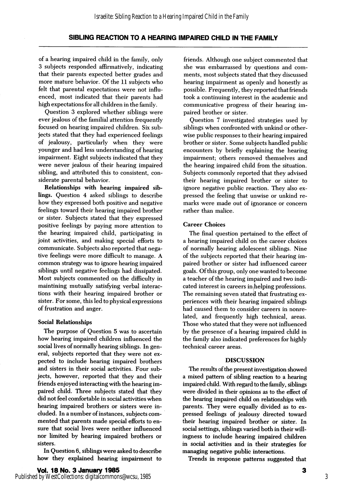of a hearing impaired child in the family, only 3 subjects responded affirmatively, indicating that their parents expected better grades and more mature behavior. Of the 11 subjects who felt that parental expectations were not influ enced, most indicated that their parents had high expectations for all children in the family.

Question 3 explored whether siblings were ever jealous of the familial attention frequently focused on hearing impaired children. Six sub jects stated that they had experienced feelings of jealousy, particularly when they were younger and had less understanding of hearing impairment. Eight subjects indicated that they were never jealous of their hearing impaired sibling, and attributed this to consistent, con siderate parental behavior.

Relationships with hearing impaired sib lings. Question 4 asked siblings to describe how they expressed both positive and negative feelings toward their hearing impaired brother or sister. Subjects stated that they expressed positive feelings by paying more attention to the hearing impaired child, participating in joint activities, and making special efforts to communicate. Subjects also reported that nega tive feelings were more difficult to manage. A common strategy was to ignore hearing impaired siblings until negative feelings had dissipated. Most subjects commented on the difficulty in maintining mutually satisfying verbal interac tions with their hearing impaired brother or sister. For some, this led to physical expressions of frustration and anger.

## Social Relationships

The purpose of Question 5 was to ascertain how hearing impaired children influenced the social lives of normally hearing siblings. In gen eral, subjects reported that they were not ex pected to include hearing impaired brothers and sisters in their social activities. Four sub jects, however, reported that they and their friends enjoyed interacting with the hearing im paired child. Three subjects stated that they did not feel comfortable in social activities when hearing impaired brothers or sisters were in cluded. In a number of instances, subjects com mented that parents made special efforts to en sure that social lives were neither influenced nor limited by hearing impaired brothers or sisters.

In Question 6, siblings were asked to describe how they explained hearing impairment to

friends. Although one subject commented that she was embarrassed by questions and com ments, most subjects stated that they discussed hearing impairment as openly and honestly as possible. Frequently, they reported that friends took a continuing interest in the academic and communicative progress of their hearing im paired brother or sister.

Question 7 investigated strategies used by siblings when confronted with unkind or other wise public responses to their hearing impaired brother or sister. Some subjects handled public encounters by briefly explaining the hearing impairment; others removed themselves and the hearing impaired child from the situation. Subjects commonly reported that they advised their hearing impaired brother or sister to ignore negative public reaction. They also ex pressed the feeling that unwise or unkind re marks were made out of ignorance or concern rather than malice.

## Career Choices

The final question pertained to the effect of a hearing impaired child on the career choices of normally hearing adolescent siblings. Nine of the subjects reported that their hearing im paired brother or sister had influenced career goals. Of this group, only one wanted to become a teacher of the hearing impaired and two indi cated interest in careers in helping professions. The remaining seven stated that frustrating ex periences with their hearing impaired siblings had caused them to consider careers in nonrelated, and frequently high technical, areas. Those who stated that they were not influenced by the presence of a hearing impaired child in the family also indicated preferences for highly technical career areas.

## **DISCUSSION**

The results of the present investigation showed a mixed pattern of sibling reaction to a hearing impaired child. With regard to the family, siblings were divided in their opinions as to the effect of the hearing impaired child on relationships with parents. They were equally divided as to ex pressed feelings of jealousy directed toward their hearing impaired brother or sister. In social settings, siblings varied both in their will ingness to include hearing impaired children in social activities and in their strategies for managing negative public interactions.

Trends in response patterns suggested that

Published by WestCollections: digitalcommons@wcsu, 1985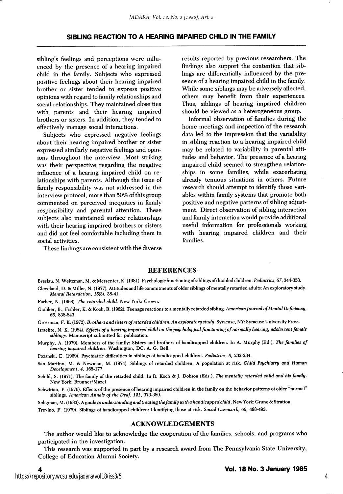sibling's feelings and perceptions were influ enced by the presence of a hearing impaired child in the family. Subjects who expressed positive feelings about their hearing impaired brother or sister tended to express positive opinions with regard to family relationships and social relationships. They maintained close ties with parents and their hearing impaired brothers or sisters. In addition, they tended to effectively manage social interactions.

Subjects who expressed negative feelings about their hearing impaired brother or sister expressed similarly negative feelings and opin ions throughout the interview. Most striking was their perspective regarding the negative influence of a hearing impaired child on re lationships with parents. Although the issue of family responsibility was not addressed in the interview protocol, more than 50% of this group commented on perceived inequities in family responsibility and parental attention. These subjects also maintained surface relationships with their hearing impaired brothers or sisters and did not feel comfortable including them in social activities.

These findings are consistent with the diverse

results reported by previous researchers. The findings also support the contention that sib lings are differentially influenced by the pre sence of a hearing impaired child in the family. While some siblings may be adversely affected, others may benefit from their experiences. Thus, siblings of hearing impaired children should be viewed as a heterogeneous group.

Informal observation of families during the home meetings and inspection of the research data led to the impression that the variability in sibling reaction to a hearing impaired child may be related to variability in parental atti tudes and behavior. The presence of a hearing impaired child seemed to strengthen relation ships in some families, while exacerbating already tenuous situations in others. Future research should attempt to identify those vari ables within family systems that promote both positive and negative patterns of sibling adjust ment. Direct observation of sibling interaction and family interaction would provide additional useful information for professionals working with hearing impaired children and their families.

#### REFERENCES

Breslau, N. Weitzman, M. & Messenter, K. (1981). Psychologic functioning ofsiblings of disabled children. Pediatrics, 67,344-353. Cleveland, D. & Miller, N. (1977). Attitudes and life commitments of older siblings of mentally retarded adults: An exploratory study.

Farber, N. (1968). The retarded child. New York: Crown.

Mental Retardation, J5(3), 38-41.

Graliker, B., Fishier, K. & Koch, R. (1962). Teenage reactions to a mentally retarded sibling. American Journal of Mental Deficiency, 66, 838-843.

Grossman, F. K. (1972). Brothers and sisters of retarded children: An exploratory study. Syracuse, NY: Syracuse University Press.

Israelite, N. K. (1984). Effects of a hearing impaired child on the psychological functioning of normally hearing, adolescent female siblings. Manuscript submitted for publication.

Murphy, A. (1979). Members of the family: Sisters and brothers of handicapped children. In A. Murphy (Ed.), The families of hearing impaired children. Washington, DC: A. G. Bell.

Pozanski, E. (1969). Psychiatric difficulties in siblings of handicapped children. Pediatrics, 8, 232-234.

San Martino, M. & Newman, M. (1974). Siblings of retarded children. A population at risk. Child Psychiatry and Human Development, 4, 168-177.

Schild, S. (1971). The family of the retarded child. In R. Koch & J. Dobson (Eds.), The mentally retarded child and his family. New York: Brunner/Mazel.

Schwirian, P. (1976). Effects of the presence of hearing impaired children in the family on the behavior patterns of older "normal siblings. American Annals of the Deaf, 121, 373-380.

Seligman, M. (1983). A guide to understanding and treating the family with a handicapped child. New York: Grune & Stratton.

Trevino, F. (1979). Siblings of handicapped children: Identifying those at risk. Social Casework, 60, 488-493.

## ACKNOWLEDGEMENTS

The author would like to acknowledge the cooperation of the famifies, schools, and programs who participated in the investigation.

This research was supported in part by a research award from The Pennsylvania State University, College of Education Alumni Society.

4